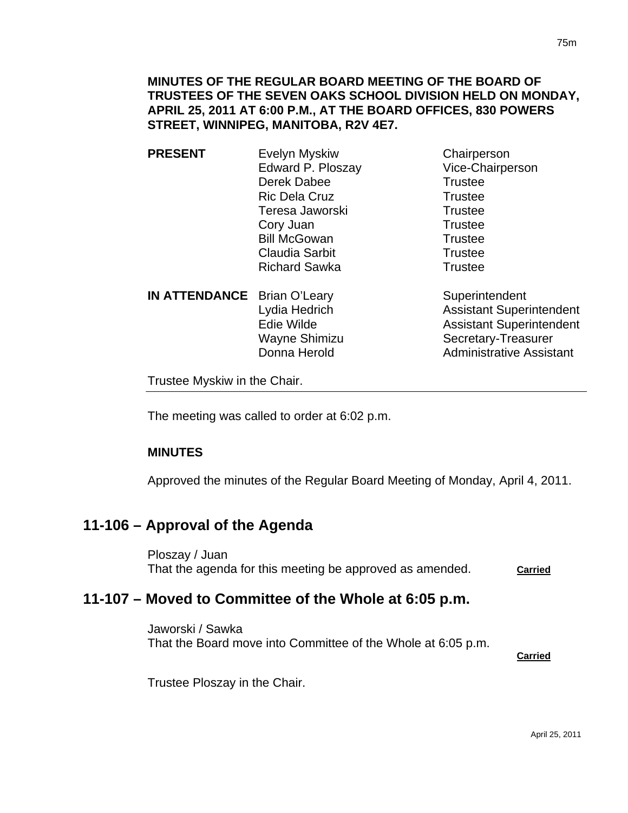- **PRESENT** Evelyn Myskiw Chairperson Edward P. Ploszay Vice-Chairperson Derek Dabee Trustee Ric Dela Cruz Trustee Teresa Jaworski **Trustee** Cory Juan Trustee Bill McGowan Trustee Claudia Sarbit **Trustee** Richard Sawka Trustee
- **IN ATTENDANCE** Brian O'Leary Superintendent

Lydia Hedrich **Assistant Superintendent** Edie Wilde **Assistant Superintendent** Wayne Shimizu Secretary-Treasurer Donna Herold **Administrative Assistant** 

Trustee Myskiw in the Chair.

The meeting was called to order at 6:02 p.m.

## **MINUTES**

Approved the minutes of the Regular Board Meeting of Monday, April 4, 2011.

# **11-106 – Approval of the Agenda**

Ploszay / Juan That the agenda for this meeting be approved as amended. **Carried**

# **11-107 – Moved to Committee of the Whole at 6:05 p.m.**

Jaworski / Sawka That the Board move into Committee of the Whole at 6:05 p.m.

**Carried**

Trustee Ploszay in the Chair.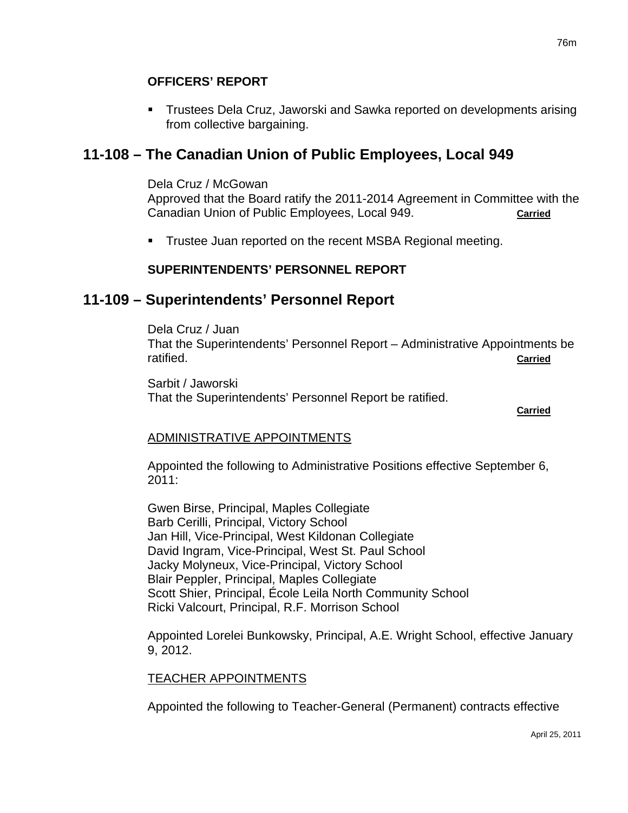Trustees Dela Cruz, Jaworski and Sawka reported on developments arising from collective bargaining.

# **11-108 – The Canadian Union of Public Employees, Local 949**

Dela Cruz / McGowan

Approved that the Board ratify the 2011-2014 Agreement in Committee with the Canadian Union of Public Employees, Local 949. **Carried**

Trustee Juan reported on the recent MSBA Regional meeting.

## **SUPERINTENDENTS' PERSONNEL REPORT**

# **11-109 – Superintendents' Personnel Report**

Dela Cruz / Juan That the Superintendents' Personnel Report – Administrative Appointments be ratified. **Carried**

Sarbit / Jaworski That the Superintendents' Personnel Report be ratified. **Carried** Contract of the Contract of the Contract of the Contract of the Carried Carried Carried Contract of the Contract of the Contract of the Contract of the Contract of the Contract of the Contract of the Contract of

## ADMINISTRATIVE APPOINTMENTS

Appointed the following to Administrative Positions effective September 6, 2011:

Gwen Birse, Principal, Maples Collegiate Barb Cerilli, Principal, Victory School Jan Hill, Vice-Principal, West Kildonan Collegiate David Ingram, Vice-Principal, West St. Paul School Jacky Molyneux, Vice-Principal, Victory School Blair Peppler, Principal, Maples Collegiate Scott Shier, Principal, École Leila North Community School Ricki Valcourt, Principal, R.F. Morrison School

Appointed Lorelei Bunkowsky, Principal, A.E. Wright School, effective January 9, 2012.

### TEACHER APPOINTMENTS

Appointed the following to Teacher-General (Permanent) contracts effective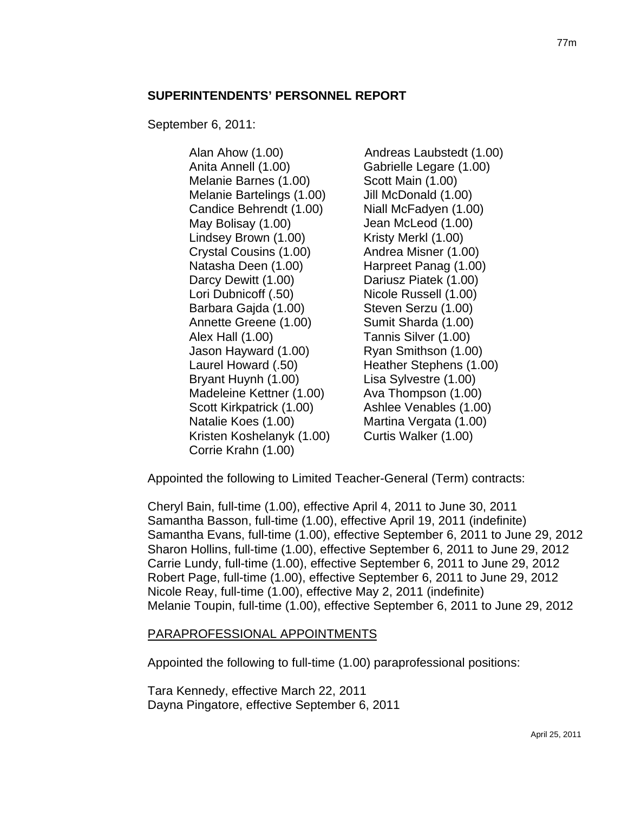### **SUPERINTENDENTS' PERSONNEL REPORT**

September 6, 2011:

Alan Ahow (1.00) Anita Annell (1.00) Melanie Barnes (1.00) Melanie Bartelings (1.00) Candice Behrendt (1.00) May Bolisay (1.00) Lindsey Brown (1.00) Crystal Cousins (1.00) Natasha Deen (1.00) Darcy Dewitt (1.00) Lori Dubnicoff (.50) Barbara Gajda (1.00) Annette Greene (1.00) Alex Hall (1.00) Jason Hayward (1.00) Laurel Howard (.50) Bryant Huynh (1.00) Madeleine Kettner (1.00) Scott Kirkpatrick (1.00) Natalie Koes (1.00) Kristen Koshelanyk (1.00) Corrie Krahn (1.00) Andreas Laubstedt (1.00) Gabrielle Legare (1.00) Scott Main (1.00) Jill McDonald (1.00) Niall McFadyen (1.00) Jean McLeod (1.00) Kristy Merkl (1.00) Andrea Misner (1.00) Harpreet Panag (1.00) Dariusz Piatek (1.00) Nicole Russell (1.00) Steven Serzu (1.00) Sumit Sharda (1.00) Tannis Silver (1.00) Ryan Smithson (1.00) Heather Stephens (1.00) Lisa Sylvestre (1.00) Ava Thompson (1.00) Ashlee Venables (1.00) Martina Vergata (1.00) Curtis Walker (1.00)

Appointed the following to Limited Teacher-General (Term) contracts:

Cheryl Bain, full-time (1.00), effective April 4, 2011 to June 30, 2011 Samantha Basson, full-time (1.00), effective April 19, 2011 (indefinite) Samantha Evans, full-time (1.00), effective September 6, 2011 to June 29, 2012 Sharon Hollins, full-time (1.00), effective September 6, 2011 to June 29, 2012 Carrie Lundy, full-time (1.00), effective September 6, 2011 to June 29, 2012 Robert Page, full-time (1.00), effective September 6, 2011 to June 29, 2012 Nicole Reay, full-time (1.00), effective May 2, 2011 (indefinite) Melanie Toupin, full-time (1.00), effective September 6, 2011 to June 29, 2012

### PARAPROFESSIONAL APPOINTMENTS

Appointed the following to full-time (1.00) paraprofessional positions:

Tara Kennedy, effective March 22, 2011 Dayna Pingatore, effective September 6, 2011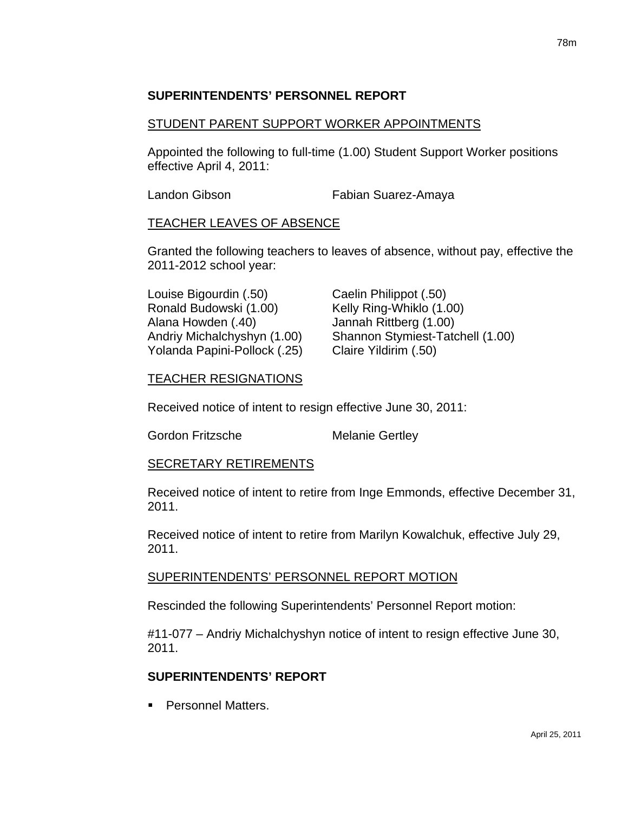## **SUPERINTENDENTS' PERSONNEL REPORT**

### STUDENT PARENT SUPPORT WORKER APPOINTMENTS

Appointed the following to full-time (1.00) Student Support Worker positions effective April 4, 2011:

Landon Gibson **Fabian Suarez-Amaya** 

## TEACHER LEAVES OF ABSENCE

Granted the following teachers to leaves of absence, without pay, effective the 2011-2012 school year:

Louise Bigourdin (.50) Caelin Philippot (.50) Ronald Budowski (1.00) Kelly Ring-Whiklo (1.00) Alana Howden (.40) Jannah Rittberg (1.00) Yolanda Papini-Pollock (.25) Claire Yildirim (.50)

Andriy Michalchyshyn (1.00) Shannon Stymiest-Tatchell (1.00)

## TEACHER RESIGNATIONS

Received notice of intent to resign effective June 30, 2011:

Gordon Fritzsche Melanie Gertley

### SECRETARY RETIREMENTS

Received notice of intent to retire from Inge Emmonds, effective December 31, 2011.

Received notice of intent to retire from Marilyn Kowalchuk, effective July 29, 2011.

### SUPERINTENDENTS' PERSONNEL REPORT MOTION

Rescinded the following Superintendents' Personnel Report motion:

#11-077 – Andriy Michalchyshyn notice of intent to resign effective June 30, 2011.

## **SUPERINTENDENTS' REPORT**

**Personnel Matters.**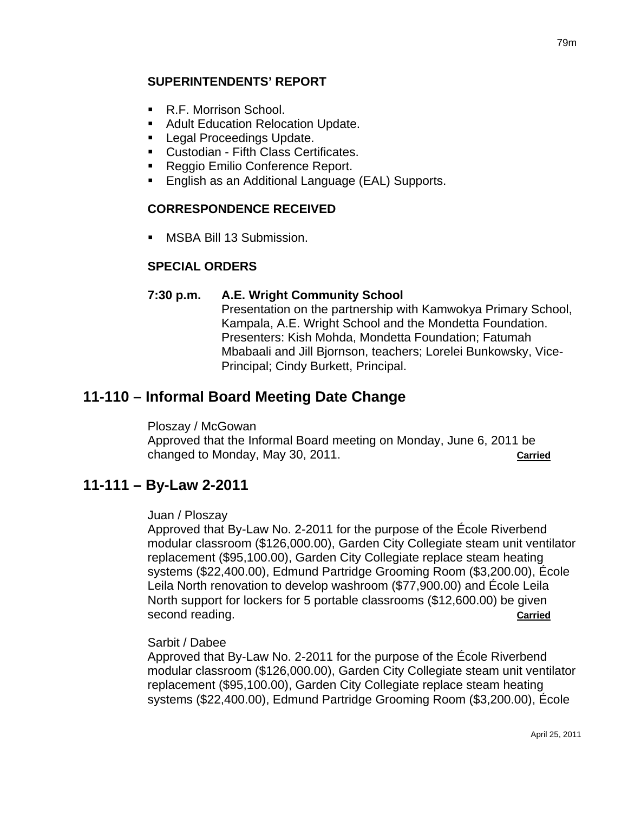## **SUPERINTENDENTS' REPORT**

- R.F. Morrison School.
- **Adult Education Relocation Update.**
- **Legal Proceedings Update.**
- Custodian Fifth Class Certificates.
- Reggio Emilio Conference Report.
- **English as an Additional Language (EAL) Supports.**

### **CORRESPONDENCE RECEIVED**

MSBA Bill 13 Submission.

### **SPECIAL ORDERS**

#### **7:30 p.m. A.E. Wright Community School**

Presentation on the partnership with Kamwokya Primary School, Kampala, A.E. Wright School and the Mondetta Foundation. Presenters: Kish Mohda, Mondetta Foundation; Fatumah Mbabaali and Jill Bjornson, teachers; Lorelei Bunkowsky, Vice-Principal; Cindy Burkett, Principal.

## **11-110 – Informal Board Meeting Date Change**

#### Ploszay / McGowan

Approved that the Informal Board meeting on Monday, June 6, 2011 be changed to Monday, May 30, 2011. **Carried**

## **11-111 – By-Law 2-2011**

#### Juan / Ploszay

Approved that By-Law No. 2-2011 for the purpose of the École Riverbend modular classroom (\$126,000.00), Garden City Collegiate steam unit ventilator replacement (\$95,100.00), Garden City Collegiate replace steam heating systems (\$22,400.00), Edmund Partridge Grooming Room (\$3,200.00), École Leila North renovation to develop washroom (\$77,900.00) and École Leila North support for lockers for 5 portable classrooms (\$12,600.00) be given second reading. **Carried**

#### Sarbit / Dabee

Approved that By-Law No. 2-2011 for the purpose of the École Riverbend modular classroom (\$126,000.00), Garden City Collegiate steam unit ventilator replacement (\$95,100.00), Garden City Collegiate replace steam heating systems (\$22,400.00), Edmund Partridge Grooming Room (\$3,200.00), École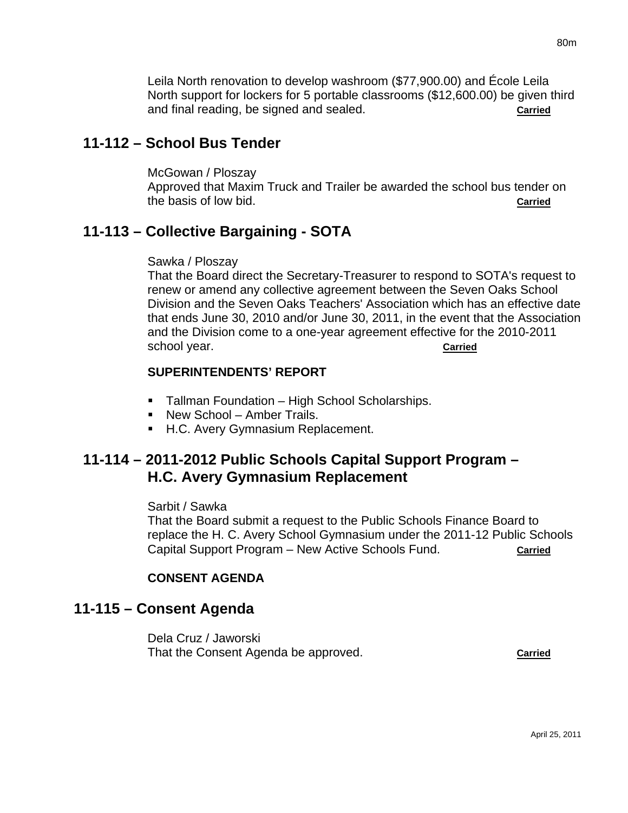Leila North renovation to develop washroom (\$77,900.00) and École Leila North support for lockers for 5 portable classrooms (\$12,600.00) be given third and final reading, be signed and sealed. **Carried**

# **11-112 – School Bus Tender**

McGowan / Ploszay Approved that Maxim Truck and Trailer be awarded the school bus tender on the basis of low bid. **Carried**

# **11-113 – Collective Bargaining - SOTA**

### Sawka / Ploszay

That the Board direct the Secretary-Treasurer to respond to SOTA's request to renew or amend any collective agreement between the Seven Oaks School Division and the Seven Oaks Teachers' Association which has an effective date that ends June 30, 2010 and/or June 30, 2011, in the event that the Association and the Division come to a one-year agreement effective for the 2010-2011 school year. **Carried**

## **SUPERINTENDENTS' REPORT**

- **Tallman Foundation High School Scholarships.**
- New School Amber Trails.
- H.C. Avery Gymnasium Replacement.

# **11-114 – 2011-2012 Public Schools Capital Support Program – H.C. Avery Gymnasium Replacement**

### Sarbit / Sawka

That the Board submit a request to the Public Schools Finance Board to replace the H. C. Avery School Gymnasium under the 2011-12 Public Schools Capital Support Program – New Active Schools Fund. **Carried**

## **CONSENT AGENDA**

# **11-115 – Consent Agenda**

Dela Cruz / Jaworski That the Consent Agenda be approved. **Carried**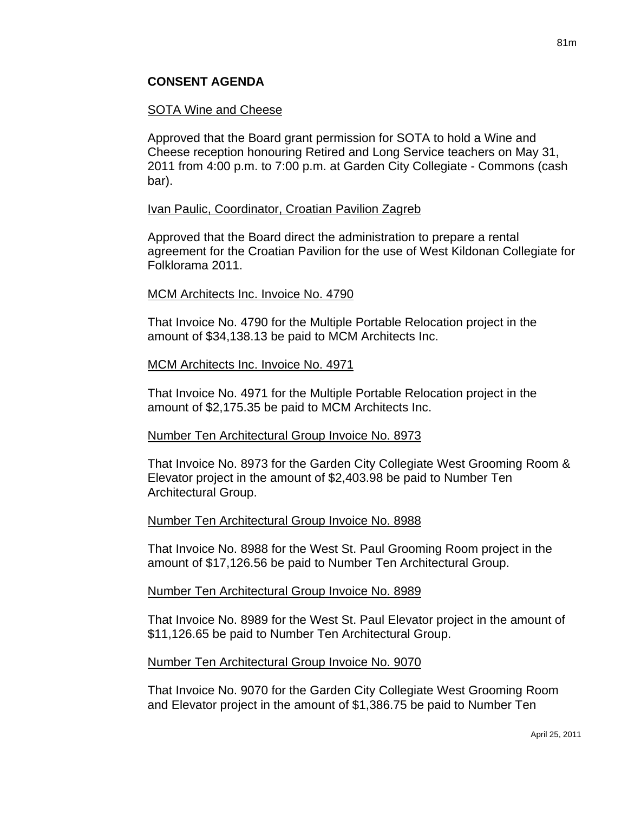## SOTA Wine and Cheese

Approved that the Board grant permission for SOTA to hold a Wine and Cheese reception honouring Retired and Long Service teachers on May 31, 2011 from 4:00 p.m. to 7:00 p.m. at Garden City Collegiate - Commons (cash bar).

## Ivan Paulic, Coordinator, Croatian Pavilion Zagreb

Approved that the Board direct the administration to prepare a rental agreement for the Croatian Pavilion for the use of West Kildonan Collegiate for Folklorama 2011.

## MCM Architects Inc. Invoice No. 4790

That Invoice No. 4790 for the Multiple Portable Relocation project in the amount of \$34,138.13 be paid to MCM Architects Inc.

## MCM Architects Inc. Invoice No. 4971

That Invoice No. 4971 for the Multiple Portable Relocation project in the amount of \$2,175.35 be paid to MCM Architects Inc.

## Number Ten Architectural Group Invoice No. 8973

That Invoice No. 8973 for the Garden City Collegiate West Grooming Room & Elevator project in the amount of \$2,403.98 be paid to Number Ten Architectural Group.

### Number Ten Architectural Group Invoice No. 8988

That Invoice No. 8988 for the West St. Paul Grooming Room project in the amount of \$17,126.56 be paid to Number Ten Architectural Group.

## Number Ten Architectural Group Invoice No. 8989

That Invoice No. 8989 for the West St. Paul Elevator project in the amount of \$11,126.65 be paid to Number Ten Architectural Group.

### Number Ten Architectural Group Invoice No. 9070

That Invoice No. 9070 for the Garden City Collegiate West Grooming Room and Elevator project in the amount of \$1,386.75 be paid to Number Ten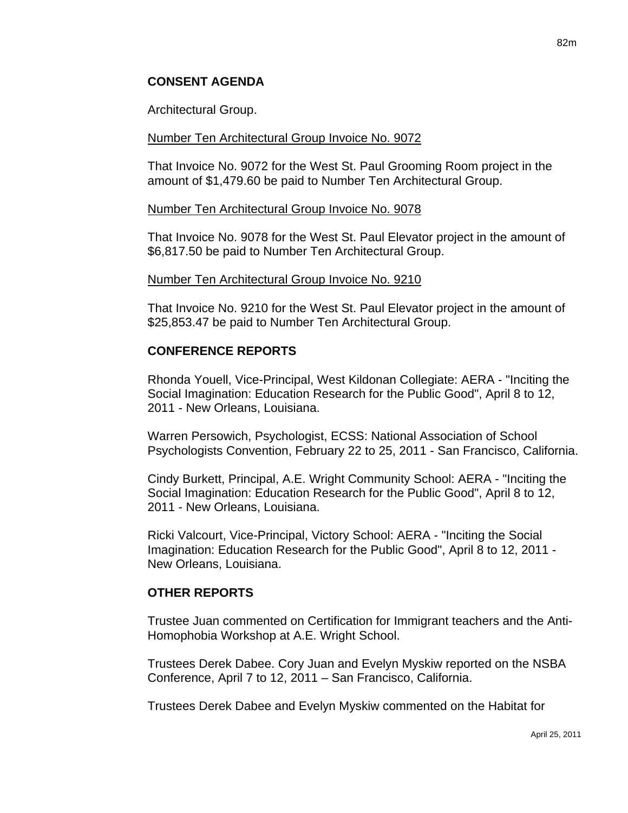## **CONSENT AGENDA**

Architectural Group.

### Number Ten Architectural Group Invoice No. 9072

That Invoice No. 9072 for the West St. Paul Grooming Room project in the amount of \$1,479.60 be paid to Number Ten Architectural Group.

#### Number Ten Architectural Group Invoice No. 9078

That Invoice No. 9078 for the West St. Paul Elevator project in the amount of \$6,817.50 be paid to Number Ten Architectural Group.

#### Number Ten Architectural Group Invoice No. 9210

That Invoice No. 9210 for the West St. Paul Elevator project in the amount of \$25,853.47 be paid to Number Ten Architectural Group.

## **CONFERENCE REPORTS**

Rhonda Youell, Vice-Principal, West Kildonan Collegiate: AERA - "Inciting the Social Imagination: Education Research for the Public Good", April 8 to 12, 2011 - New Orleans, Louisiana.

Warren Persowich, Psychologist, ECSS: National Association of School Psychologists Convention, February 22 to 25, 2011 - San Francisco, California.

Cindy Burkett, Principal, A.E. Wright Community School: AERA - "Inciting the Social Imagination: Education Research for the Public Good", April 8 to 12, 2011 - New Orleans, Louisiana.

Ricki Valcourt, Vice-Principal, Victory School: AERA - "Inciting the Social Imagination: Education Research for the Public Good", April 8 to 12, 2011 - New Orleans, Louisiana.

### **OTHER REPORTS**

Trustee Juan commented on Certification for Immigrant teachers and the Anti-Homophobia Workshop at A.E. Wright School.

Trustees Derek Dabee. Cory Juan and Evelyn Myskiw reported on the NSBA Conference, April 7 to 12, 2011 – San Francisco, California.

Trustees Derek Dabee and Evelyn Myskiw commented on the Habitat for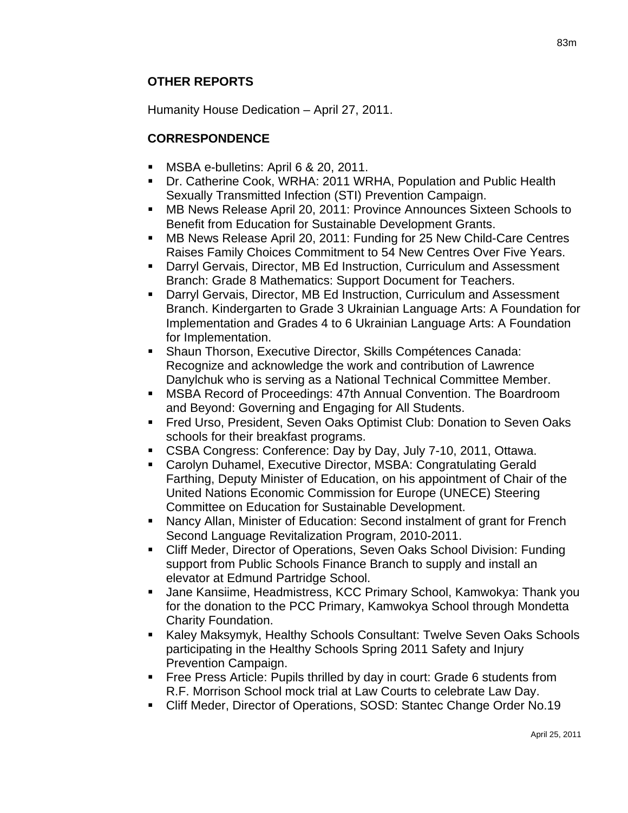Humanity House Dedication – April 27, 2011.

# **CORRESPONDENCE**

- **MSBA e-bulletins: April 6 & 20, 2011.**
- Dr. Catherine Cook, WRHA: 2011 WRHA, Population and Public Health Sexually Transmitted Infection (STI) Prevention Campaign.
- MB News Release April 20, 2011: Province Announces Sixteen Schools to Benefit from Education for Sustainable Development Grants.
- **MB News Release April 20, 2011: Funding for 25 New Child-Care Centres** Raises Family Choices Commitment to 54 New Centres Over Five Years.
- Darryl Gervais, Director, MB Ed Instruction, Curriculum and Assessment Branch: Grade 8 Mathematics: Support Document for Teachers.
- Darryl Gervais, Director, MB Ed Instruction, Curriculum and Assessment Branch. Kindergarten to Grade 3 Ukrainian Language Arts: A Foundation for Implementation and Grades 4 to 6 Ukrainian Language Arts: A Foundation for Implementation.
- Shaun Thorson, Executive Director, Skills Compétences Canada: Recognize and acknowledge the work and contribution of Lawrence Danylchuk who is serving as a National Technical Committee Member.
- MSBA Record of Proceedings: 47th Annual Convention. The Boardroom and Beyond: Governing and Engaging for All Students.
- Fred Urso, President, Seven Oaks Optimist Club: Donation to Seven Oaks schools for their breakfast programs.
- CSBA Congress: Conference: Day by Day, July 7-10, 2011, Ottawa.
- Carolyn Duhamel, Executive Director, MSBA: Congratulating Gerald Farthing, Deputy Minister of Education, on his appointment of Chair of the United Nations Economic Commission for Europe (UNECE) Steering Committee on Education for Sustainable Development.
- Nancy Allan, Minister of Education: Second instalment of grant for French Second Language Revitalization Program, 2010-2011.
- Cliff Meder, Director of Operations, Seven Oaks School Division: Funding support from Public Schools Finance Branch to supply and install an elevator at Edmund Partridge School.
- Jane Kansiime, Headmistress, KCC Primary School, Kamwokya: Thank you for the donation to the PCC Primary, Kamwokya School through Mondetta Charity Foundation.
- Kaley Maksymyk, Healthy Schools Consultant: Twelve Seven Oaks Schools participating in the Healthy Schools Spring 2011 Safety and Injury Prevention Campaign.
- **Figure 2** Free Press Article: Pupils thrilled by day in court: Grade 6 students from R.F. Morrison School mock trial at Law Courts to celebrate Law Day.
- Cliff Meder, Director of Operations, SOSD: Stantec Change Order No.19